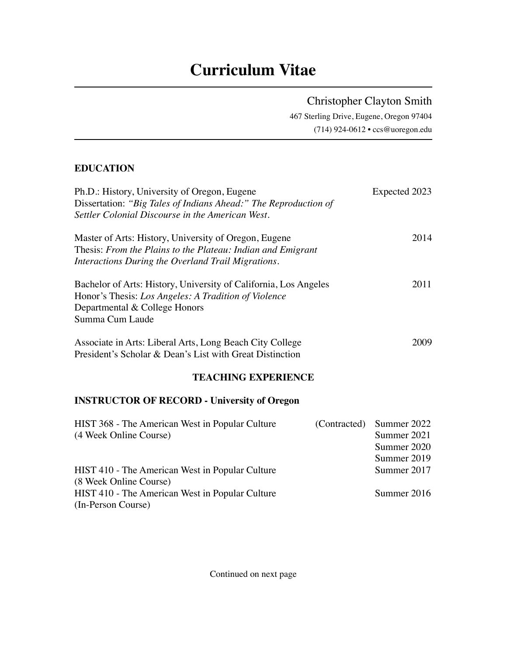# **Curriculum Vitae**

Christopher Clayton Smith

467 Sterling Drive, Eugene, Oregon 97404 (714) 924-0612 • ccs@uoregon.edu

## **EDUCATION**

| Ph.D.: History, University of Oregon, Eugene<br>Dissertation: "Big Tales of Indians Ahead:" The Reproduction of<br>Settler Colonial Discourse in the American West.          | Expected 2023                                            |  |
|------------------------------------------------------------------------------------------------------------------------------------------------------------------------------|----------------------------------------------------------|--|
| Master of Arts: History, University of Oregon, Eugene<br>Thesis: From the Plains to the Plateau: Indian and Emigrant<br>Interactions During the Overland Trail Migrations.   | 2014                                                     |  |
| Bachelor of Arts: History, University of California, Los Angeles<br>Honor's Thesis: Los Angeles: A Tradition of Violence<br>Departmental & College Honors<br>Summa Cum Laude | 2011                                                     |  |
| Associate in Arts: Liberal Arts, Long Beach City College<br>President's Scholar & Dean's List with Great Distinction                                                         | 2009                                                     |  |
| <b>TEACHING EXPERIENCE</b>                                                                                                                                                   |                                                          |  |
| <b>INSTRUCTOR OF RECORD - University of Oregon</b>                                                                                                                           |                                                          |  |
| HIST 368 - The American West in Popular Culture<br>(Contracted)<br>(4 Week Online Course)                                                                                    | Summer 2022<br>Summer 2021<br>Summer 2020<br>Summer 2019 |  |
| HIST 410 - The American West in Popular Culture<br>(8 Week Online Course)                                                                                                    | Summer 2017                                              |  |
| HIST 410 - The American West in Popular Culture<br>(In-Person Course)                                                                                                        | Summer 2016                                              |  |

Continued on next page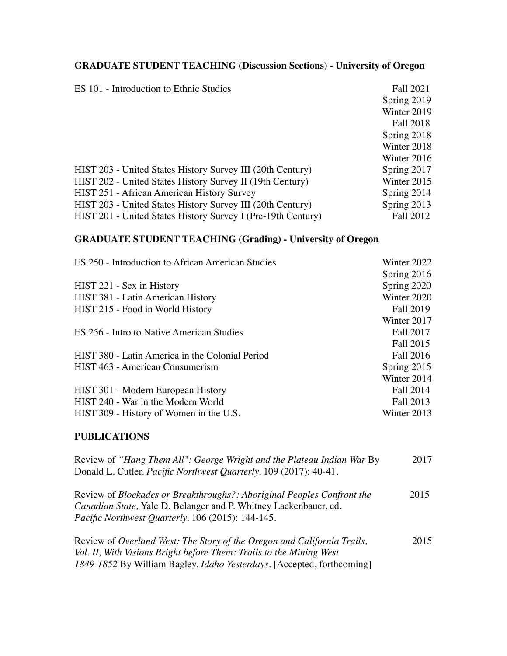# **GRADUATE STUDENT TEACHING (Discussion Sections) - University of Oregon**

| ES 101 - Introduction to Ethnic Studies                      | Fall 2021     |
|--------------------------------------------------------------|---------------|
|                                                              | Spring 2019   |
|                                                              | Winter 2019   |
|                                                              | Fall 2018     |
|                                                              | Spring 2018   |
|                                                              | Winter 2018   |
|                                                              | Winter 2016   |
| HIST 203 - United States History Survey III (20th Century)   | Spring 2017   |
| HIST 202 - United States History Survey II (19th Century)    | Winter 2015   |
| <b>HIST 251 - African American History Survey</b>            | Spring 2014   |
| HIST 203 - United States History Survey III (20th Century)   | Spring $2013$ |
| HIST 201 - United States History Survey I (Pre-19th Century) | Fall 2012     |

## **GRADUATE STUDENT TEACHING (Grading) - University of Oregon**

| ES 250 - Introduction to African American Studies | Winter 2022      |
|---------------------------------------------------|------------------|
|                                                   | Spring 2016      |
| HIST 221 - Sex in History                         | Spring 2020      |
| HIST 381 - Latin American History                 | Winter 2020      |
| HIST 215 - Food in World History                  | <b>Fall 2019</b> |
|                                                   | Winter 2017      |
| ES 256 - Intro to Native American Studies         | Fall 2017        |
|                                                   | Fall 2015        |
| HIST 380 - Latin America in the Colonial Period   | Fall 2016        |
| HIST 463 - American Consumerism                   | Spring 2015      |
|                                                   | Winter 2014      |
| HIST 301 - Modern European History                | Fall 2014        |
| HIST 240 - War in the Modern World                | Fall 2013        |
| HIST 309 - History of Women in the U.S.           | Winter 2013      |
|                                                   |                  |

#### **PUBLICATIONS**

| Review of "Hang Them All": George Wright and the Plateau Indian War By<br>Donald L. Cutler. Pacific Northwest Quarterly. 109 (2017): 40-41.                                                                   |      |  |
|---------------------------------------------------------------------------------------------------------------------------------------------------------------------------------------------------------------|------|--|
| Review of <i>Blockades or Breakthroughs?: Aboriginal Peoples Confront the</i><br><i>Canadian State, Yale D. Belanger and P. Whitney Lackenbauer, ed.</i><br>Pacific Northwest Quarterly. 106 (2015): 144-145. | 2015 |  |
| Review of Overland West: The Story of the Oregon and California Trails,<br>Vol. II, With Visions Bright before Them: Trails to the Mining West                                                                | 2015 |  |

*1849-1852* By William Bagley. *Idaho Yesterdays.* [Accepted, forthcoming]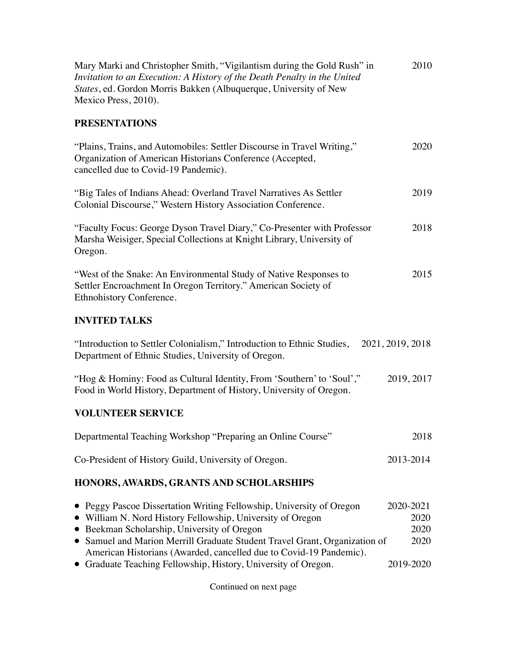| Mary Marki and Christopher Smith, "Vigilantism during the Gold Rush" in<br>Invitation to an Execution: A History of the Death Penalty in the United<br>States, ed. Gordon Morris Bakken (Albuquerque, University of New<br>Mexico Press, 2010).                                                                                                                                                         |                                                |  |  |  |
|---------------------------------------------------------------------------------------------------------------------------------------------------------------------------------------------------------------------------------------------------------------------------------------------------------------------------------------------------------------------------------------------------------|------------------------------------------------|--|--|--|
| <b>PRESENTATIONS</b>                                                                                                                                                                                                                                                                                                                                                                                    |                                                |  |  |  |
| "Plains, Trains, and Automobiles: Settler Discourse in Travel Writing,"<br>Organization of American Historians Conference (Accepted,<br>cancelled due to Covid-19 Pandemic).                                                                                                                                                                                                                            | 2020                                           |  |  |  |
| "Big Tales of Indians Ahead: Overland Travel Narratives As Settler<br>Colonial Discourse," Western History Association Conference.                                                                                                                                                                                                                                                                      | 2019                                           |  |  |  |
| "Faculty Focus: George Dyson Travel Diary," Co-Presenter with Professor<br>Marsha Weisiger, Special Collections at Knight Library, University of<br>Oregon.                                                                                                                                                                                                                                             | 2018                                           |  |  |  |
| "West of the Snake: An Environmental Study of Native Responses to<br>Settler Encroachment In Oregon Territory." American Society of<br>Ethnohistory Conference.                                                                                                                                                                                                                                         | 2015                                           |  |  |  |
| <b>INVITED TALKS</b>                                                                                                                                                                                                                                                                                                                                                                                    |                                                |  |  |  |
| "Introduction to Settler Colonialism," Introduction to Ethnic Studies,<br>Department of Ethnic Studies, University of Oregon.                                                                                                                                                                                                                                                                           | 2021, 2019, 2018                               |  |  |  |
| "Hog & Hominy: Food as Cultural Identity, From 'Southern' to 'Soul',"<br>Food in World History, Department of History, University of Oregon.                                                                                                                                                                                                                                                            | 2019, 2017                                     |  |  |  |
| <b>VOLUNTEER SERVICE</b>                                                                                                                                                                                                                                                                                                                                                                                |                                                |  |  |  |
| Departmental Teaching Workshop "Preparing an Online Course"                                                                                                                                                                                                                                                                                                                                             | 2018                                           |  |  |  |
| Co-President of History Guild, University of Oregon.                                                                                                                                                                                                                                                                                                                                                    | 2013-2014                                      |  |  |  |
| HONORS, AWARDS, GRANTS AND SCHOLARSHIPS                                                                                                                                                                                                                                                                                                                                                                 |                                                |  |  |  |
| • Peggy Pascoe Dissertation Writing Fellowship, University of Oregon<br>• William N. Nord History Fellowship, University of Oregon<br>• Beekman Scholarship, University of Oregon<br>• Samuel and Marion Merrill Graduate Student Travel Grant, Organization of<br>American Historians (Awarded, cancelled due to Covid-19 Pandemic).<br>• Graduate Teaching Fellowship, History, University of Oregon. | 2020-2021<br>2020<br>2020<br>2020<br>2019-2020 |  |  |  |

Continued on next page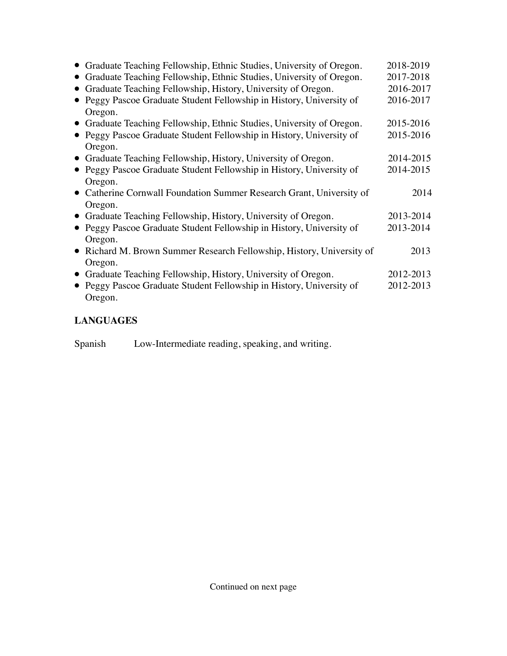| • Graduate Teaching Fellowship, Ethnic Studies, University of Oregon. | 2018-2019 |
|-----------------------------------------------------------------------|-----------|
| Graduate Teaching Fellowship, Ethnic Studies, University of Oregon.   | 2017-2018 |
| Graduate Teaching Fellowship, History, University of Oregon.          | 2016-2017 |
| • Peggy Pascoe Graduate Student Fellowship in History, University of  | 2016-2017 |
| Oregon.                                                               |           |
| • Graduate Teaching Fellowship, Ethnic Studies, University of Oregon. | 2015-2016 |
| • Peggy Pascoe Graduate Student Fellowship in History, University of  | 2015-2016 |
| Oregon.                                                               |           |
| • Graduate Teaching Fellowship, History, University of Oregon.        | 2014-2015 |
| • Peggy Pascoe Graduate Student Fellowship in History, University of  | 2014-2015 |
| Oregon.                                                               |           |
| • Catherine Cornwall Foundation Summer Research Grant, University of  | 2014      |
| Oregon.                                                               |           |
| • Graduate Teaching Fellowship, History, University of Oregon.        | 2013-2014 |
| • Peggy Pascoe Graduate Student Fellowship in History, University of  | 2013-2014 |
| Oregon.                                                               |           |
| • Richard M. Brown Summer Research Fellowship, History, University of | 2013      |
| Oregon.                                                               |           |
| • Graduate Teaching Fellowship, History, University of Oregon.        | 2012-2013 |
| • Peggy Pascoe Graduate Student Fellowship in History, University of  | 2012-2013 |
| Oregon.                                                               |           |

# **LANGUAGES**

| Spanish |  |  | Low-Intermediate reading, speaking, and writing. |
|---------|--|--|--------------------------------------------------|
|         |  |  |                                                  |